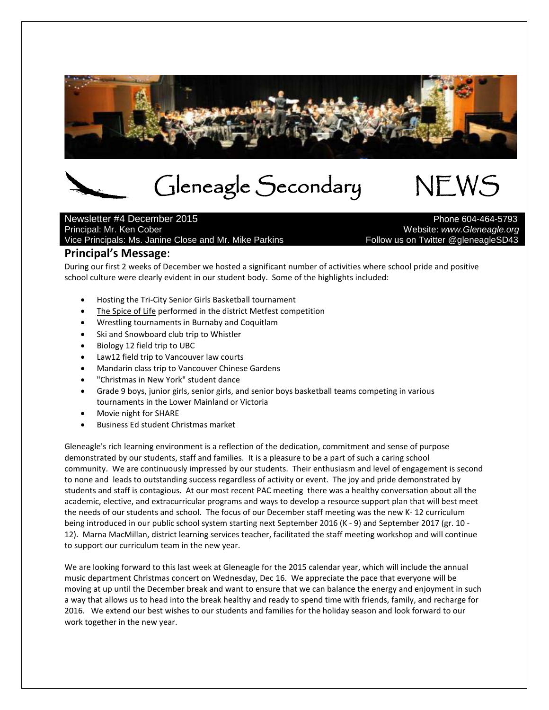

# Gleneagle Secondary NEWS<br>
mber 2015

# Newsletter #4 December 2015<br>Principal: Mr. Ken Cober Vice Principals: Ms. Janine Close and Mr. Mike Parkins

Website: *www.Gleneagle.org*<br>Pollow us on Twitter @gleneagleSD43

## **Principal's Message**:

During our first 2 weeks of December we hosted a significant number of activities where school pride and positive school culture were clearly evident in our student body. Some of the highlights included:

- Hosting the Tri-City Senior Girls Basketball tournament
- The Spice of Life performed in the district Metfest competition
- Wrestling tournaments in Burnaby and Coquitlam
- Ski and Snowboard club trip to Whistler
- Biology 12 field trip to UBC
- Law12 field trip to Vancouver law courts
- Mandarin class trip to Vancouver Chinese Gardens
- "Christmas in New York" student dance
- Grade 9 boys, junior girls, senior girls, and senior boys basketball teams competing in various tournaments in the Lower Mainland or Victoria
- Movie night for SHARE
- Business Ed student Christmas market

Gleneagle's rich learning environment is a reflection of the dedication, commitment and sense of purpose demonstrated by our students, staff and families. It is a pleasure to be a part of such a caring school community. We are continuously impressed by our students. Their enthusiasm and level of engagement is second to none and leads to outstanding success regardless of activity or event. The joy and pride demonstrated by students and staff is contagious. At our most recent PAC meeting there was a healthy conversation about all the academic, elective, and extracurricular programs and ways to develop a resource support plan that will best meet the needs of our students and school. The focus of our December staff meeting was the new K- 12 curriculum being introduced in our public school system starting next September 2016 (K - 9) and September 2017 (gr. 10 - 12). Marna MacMillan, district learning services teacher, facilitated the staff meeting workshop and will continue to support our curriculum team in the new year.

We are looking forward to this last week at Gleneagle for the 2015 calendar year, which will include the annual music department Christmas concert on Wednesday, Dec 16. We appreciate the pace that everyone will be moving at up until the December break and want to ensure that we can balance the energy and enjoyment in such a way that allows us to head into the break healthy and ready to spend time with friends, family, and recharge for 2016. We extend our best wishes to our students and families for the holiday season and look forward to our work together in the new year.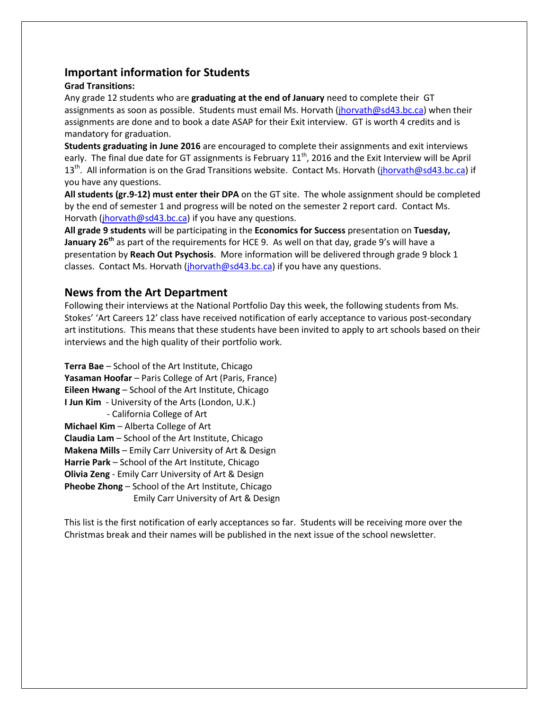## **Important information for Students**

#### **Grad Transitions:**

Any grade 12 students who are **graduating at the end of January** need to complete their GT assignments as soon as possible. Students must email Ms. Horvath (*jhorvath@sd43.bc.ca*) when their assignments are done and to book a date ASAP for their Exit interview. GT is worth 4 credits and is mandatory for graduation.

**Students graduating in June 2016** are encouraged to complete their assignments and exit interviews early. The final due date for GT assignments is February  $11<sup>th</sup>$ , 2016 and the Exit Interview will be April 13<sup>th</sup>. All information is on the Grad Transitions website. Contact Ms. Horvath (*jhorvath@sd43.bc.ca*) if you have any questions.

**All students (gr.9-12) must enter their DPA** on the GT site. The whole assignment should be completed by the end of semester 1 and progress will be noted on the semester 2 report card. Contact Ms. Horvath [\(jhorvath@sd43.bc.ca\)](mailto:jhorvath@sd43.bc.ca) if you have any questions.

**All grade 9 students** will be participating in the **Economics for Success** presentation on **Tuesday, January 26th** as part of the requirements for HCE 9. As well on that day, grade 9's will have a presentation by **Reach Out Psychosis**. More information will be delivered through grade 9 block 1 classes. Contact Ms. Horvath (*jhorvath@sd43.bc.ca*) if you have any questions.

## **News from the Art Department**

Following their interviews at the National Portfolio Day this week, the following students from Ms. Stokes' 'Art Careers 12' class have received notification of early acceptance to various post-secondary art institutions. This means that these students have been invited to apply to art schools based on their interviews and the high quality of their portfolio work.

**Terra Bae** – School of the Art Institute, Chicago **Yasaman Hoofar** – Paris College of Art (Paris, France) **Eileen Hwang** – School of the Art Institute, Chicago **I Jun Kim** - University of the Arts (London, U.K.) - California College of Art **Michael Kim** – Alberta College of Art **Claudia Lam** – School of the Art Institute, Chicago **Makena Mills** – Emily Carr University of Art & Design **Harrie Park** – School of the Art Institute, Chicago **Olivia Zeng** - Emily Carr University of Art & Design **Pheobe Zhong** – School of the Art Institute, Chicago Emily Carr University of Art & Design

This list is the first notification of early acceptances so far. Students will be receiving more over the Christmas break and their names will be published in the next issue of the school newsletter.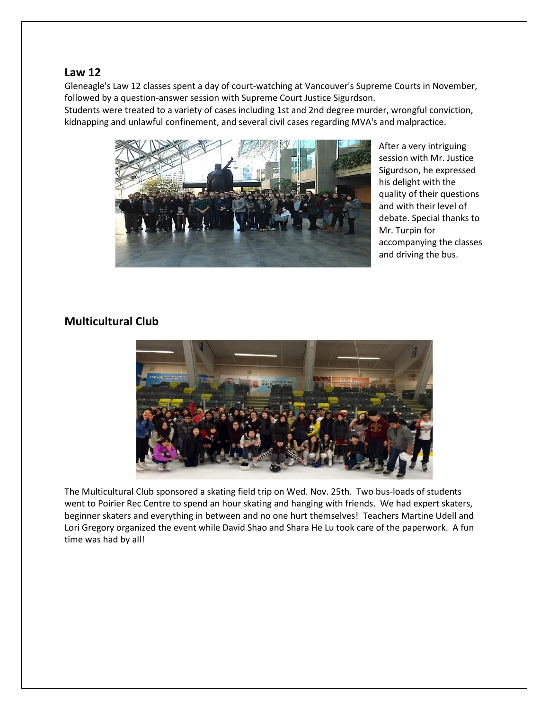## **Law 12**

Gleneagle's Law 12 classes spent a day of court-watching at Vancouver's Supreme Courts in November, followed by a question-answer session with Supreme Court Justice Sigurdson.

Students were treated to a variety of cases including 1st and 2nd degree murder, wrongful conviction, kidnapping and unlawful confinement, and several civil cases regarding MVA's and malpractice.



After a very intriguing session with Mr. Justice Sigurdson, he expressed his delight with the quality of their questions and with their level of debate. Special thanks to Mr. Turpin for accompanying the classes and driving the bus.

## **Multicultural Club**



The Multicultural Club sponsored a skating field trip on Wed. Nov. 25th. Two bus-loads of students went to Poirier Rec Centre to spend an hour skating and hanging with friends. We had expert skaters, beginner skaters and everything in between and no one hurt themselves! Teachers Martine Udell and Lori Gregory organized the event while David Shao and Shara He Lu took care of the paperwork. A fun time was had by all!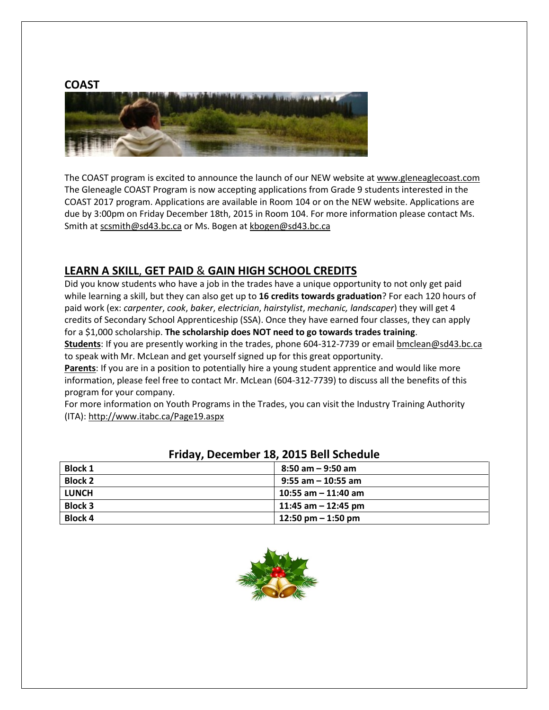

The COAST program is excited to announce the launch of our NEW website a[t www.gleneaglecoast.com](http://www.gleneaglecoast.com/) The Gleneagle COAST Program is now accepting applications from Grade 9 students interested in the COAST 2017 program. Applications are available in Room 104 or on the NEW website. Applications are due by 3:00pm on Friday December 18th, 2015 in Room 104. For more information please contact Ms. Smith at [scsmith@sd43.bc.ca](mailto:scsmith@sd43.bc.ca) or Ms. Bogen a[t kbogen@sd43.bc.ca](mailto:kbogen@sd43.bc.ca)

## **LEARN A SKILL**, **GET PAID** & **GAIN HIGH SCHOOL CREDITS**

Did you know students who have a job in the trades have a unique opportunity to not only get paid while learning a skill, but they can also get up to **16 credits towards graduation**? For each 120 hours of paid work (ex: *carpenter*, *cook*, *baker*, *electrician*, *hairstylist*, *mechanic, landscaper*) they will get 4 credits of Secondary School Apprenticeship (SSA). Once they have earned four classes, they can apply for a \$1,000 scholarship. **The scholarship does NOT need to go towards trades training**.

**Students**: If you are presently working in the trades, phone 604-312-7739 or email **bmclean@sd43.bc.ca** to speak with Mr. McLean and get yourself signed up for this great opportunity.

Parents: If you are in a position to potentially hire a young student apprentice and would like more information, please feel free to contact Mr. McLean (604-312-7739) to discuss all the benefits of this program for your company.

For more information on Youth Programs in the Trades, you can visit the Industry Training Authority (ITA)[: http://www.itabc.ca/Page19.aspx](http://www.itabc.ca/Page19.aspx)

| . .            |                       |
|----------------|-----------------------|
| <b>Block 1</b> | $8:50$ am $-9:50$ am  |
| <b>Block 2</b> | $9:55$ am - 10:55 am  |
| <b>LUNCH</b>   | $10:55$ am - 11:40 am |
| <b>Block 3</b> | 11:45 am – 12:45 pm   |
| <b>Block 4</b> | 12:50 pm $-$ 1:50 pm  |

## **Friday, December 18, 2015 Bell Schedule**

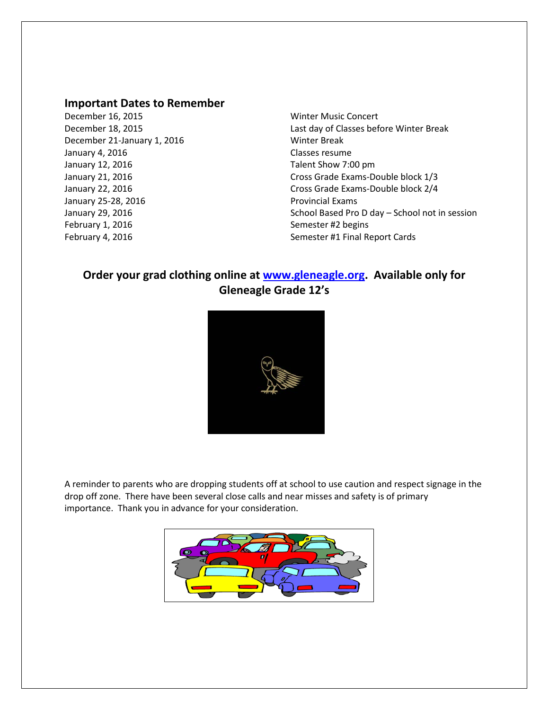#### **Important Dates to Remember**

December 16, 2015 Winter Music Concert December 21-January 1, 2016 Minter Break January 4, 2016 **Classes resume** January 12, 2016 **Talent Show 7:00 pm** January 25-28, 2016 **Provincial Exams** February 1, 2016 **Semester #2** begins February 4, 2016 **Semester #1 Final Report Cards** 

December 18, 2015 Last day of Classes before Winter Break January 21, 2016 **Cross Grade Exams-Double block** 1/3 January 22, 2016 Cross Grade Exams-Double block 2/4 January 29, 2016 **School Based Pro D day – School not in session** 

## **Order your grad clothing online at [www.gleneagle.org.](http://www.gleneagle.org/) Available only for Gleneagle Grade 12's**



A reminder to parents who are dropping students off at school to use caution and respect signage in the drop off zone. There have been several close calls and near misses and safety is of primary importance. Thank you in advance for your consideration.

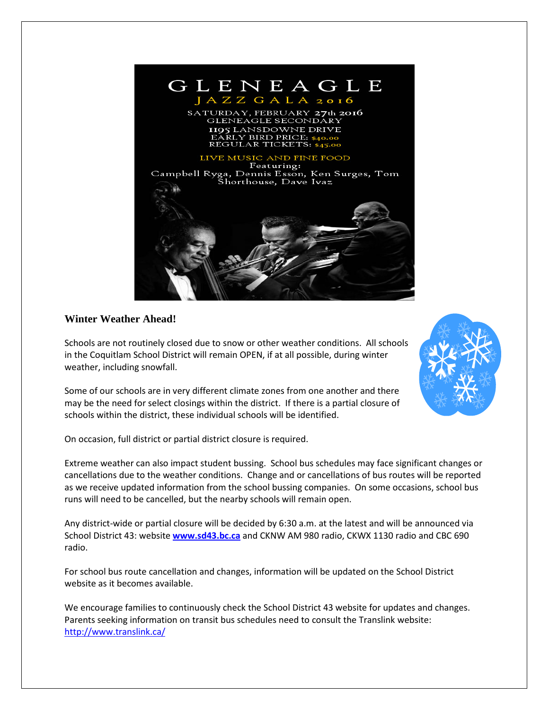

## **Winter Weather Ahead!**

Schools are not routinely closed due to snow or other weather conditions. All schools in the Coquitlam School District will remain OPEN, if at all possible, during winter weather, including snowfall.

Some of our schools are in very different climate zones from one another and there may be the need for select closings within the district. If there is a partial closure of schools within the district, these individual schools will be identified.

On occasion, full district or partial district closure is required.

Extreme weather can also impact student bussing. School bus schedules may face significant changes or cancellations due to the weather conditions. Change and or cancellations of bus routes will be reported as we receive updated information from the school bussing companies. On some occasions, school bus runs will need to be cancelled, but the nearby schools will remain open.

Any district-wide or partial closure will be decided by 6:30 a.m. at the latest and will be announced via School District 43: website **[www.sd43.bc.ca](http://www.sd43.bc.ca/)** and CKNW AM 980 radio, CKWX 1130 radio and CBC 690 radio.

For school bus route cancellation and changes, information will be updated on the School District website as it becomes available.

We encourage families to continuously check the School District 43 website for updates and changes. Parents seeking information on transit bus schedules need to consult the Translink website: <http://www.translink.ca/>